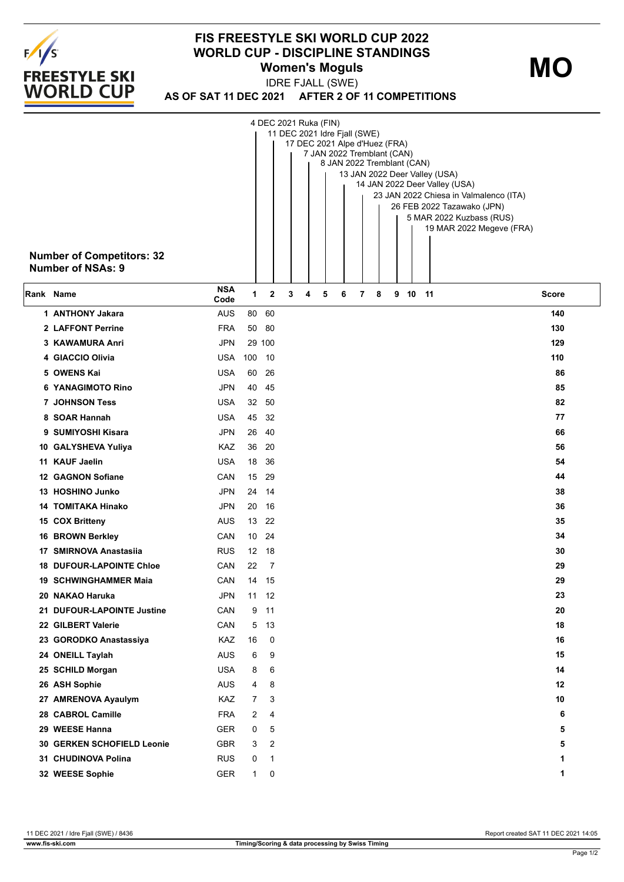

## **FIS FREESTYLE SKI WORLD CUP 2022 WORLD CUP - DISCIPLINE STANDINGS Women's Moguls**

**MO**

**AS OF SAT 11 DEC 2021 AFTER 2 OF 11 COMPETITIONS** IDRE FJALL (SWE)

| <b>Number of Competitors: 32</b><br><b>Number of NSAs: 9</b> |                    |        |       | 4 DEC 2021 Ruka (FIN)<br>11 DEC 2021 Idre Fjall (SWE)<br>17 DEC 2021 Alpe d'Huez (FRA) |   | 7 JAN 2022 Tremblant (CAN) |   |   |   |   | 8 JAN 2022 Tremblant (CAN) | 13 JAN 2022 Deer Valley (USA)<br>14 JAN 2022 Deer Valley (USA)<br>23 JAN 2022 Chiesa in Valmalenco (ITA)<br>26 FEB 2022 Tazawako (JPN)<br>5 MAR 2022 Kuzbass (RUS)<br>19 MAR 2022 Megeve (FRA) |  |
|--------------------------------------------------------------|--------------------|--------|-------|----------------------------------------------------------------------------------------|---|----------------------------|---|---|---|---|----------------------------|------------------------------------------------------------------------------------------------------------------------------------------------------------------------------------------------|--|
| Rank Name                                                    | <b>NSA</b><br>Code | 1      | 2     | 3                                                                                      | 4 | 5                          | 6 | 7 | 8 | 9 | 10 11                      | Score                                                                                                                                                                                          |  |
| 1 ANTHONY Jakara                                             | <b>AUS</b>         | 80     | 60    |                                                                                        |   |                            |   |   |   |   |                            | 140                                                                                                                                                                                            |  |
| 2 LAFFONT Perrine                                            | <b>FRA</b>         | 50     | 80    |                                                                                        |   |                            |   |   |   |   |                            | 130                                                                                                                                                                                            |  |
| 3 KAWAMURA Anri                                              | <b>JPN</b>         | 29 100 |       |                                                                                        |   |                            |   |   |   |   |                            | 129                                                                                                                                                                                            |  |
| 4 GIACCIO Olivia                                             | USA                | 100    | - 10  |                                                                                        |   |                            |   |   |   |   |                            | 110                                                                                                                                                                                            |  |
| 5 OWENS Kai                                                  | USA                | 60     | 26    |                                                                                        |   |                            |   |   |   |   |                            | 86                                                                                                                                                                                             |  |
| <b>6 YANAGIMOTO Rino</b>                                     | <b>JPN</b>         | 40     | 45    |                                                                                        |   |                            |   |   |   |   |                            | 85                                                                                                                                                                                             |  |
| <b>7 JOHNSON Tess</b>                                        | USA                | 32     | 50    |                                                                                        |   |                            |   |   |   |   |                            | 82                                                                                                                                                                                             |  |
| 8 SOAR Hannah                                                | USA                | 45     | 32    |                                                                                        |   |                            |   |   |   |   |                            | 77                                                                                                                                                                                             |  |
| 9 SUMIYOSHI Kisara                                           | JPN                | 26     | 40    |                                                                                        |   |                            |   |   |   |   |                            | 66                                                                                                                                                                                             |  |
| 10 GALYSHEVA Yuliya                                          | KAZ                | 36     | 20    |                                                                                        |   |                            |   |   |   |   |                            | 56                                                                                                                                                                                             |  |
| 11 KAUF Jaelin                                               | USA                | 18     | 36    |                                                                                        |   |                            |   |   |   |   |                            | 54                                                                                                                                                                                             |  |
| 12 GAGNON Sofiane                                            | CAN                | 15     | 29    |                                                                                        |   |                            |   |   |   |   |                            | 44                                                                                                                                                                                             |  |
| 13 HOSHINO Junko                                             | <b>JPN</b>         | 24     | - 14  |                                                                                        |   |                            |   |   |   |   |                            | 38                                                                                                                                                                                             |  |
| <b>14 TOMITAKA Hinako</b>                                    | <b>JPN</b>         | 20     | - 16  |                                                                                        |   |                            |   |   |   |   |                            | 36                                                                                                                                                                                             |  |
| 15 COX Britteny                                              | <b>AUS</b>         | 13     | 22    |                                                                                        |   |                            |   |   |   |   |                            | 35                                                                                                                                                                                             |  |
| 16 BROWN Berkley                                             | CAN                | 10     | 24    |                                                                                        |   |                            |   |   |   |   |                            | 34                                                                                                                                                                                             |  |
| 17 SMIRNOVA Anastasiia                                       | <b>RUS</b>         |        | 12 18 |                                                                                        |   |                            |   |   |   |   |                            | 30                                                                                                                                                                                             |  |
| <b>18 DUFOUR-LAPOINTE Chloe</b>                              | CAN                | 22     | 7     |                                                                                        |   |                            |   |   |   |   |                            | 29                                                                                                                                                                                             |  |
| 19 SCHWINGHAMMER Maia                                        | CAN                |        | 14 15 |                                                                                        |   |                            |   |   |   |   |                            | 29                                                                                                                                                                                             |  |
| 20 NAKAO Haruka                                              | <b>JPN</b>         |        | 11 12 |                                                                                        |   |                            |   |   |   |   |                            | 23                                                                                                                                                                                             |  |
| 21 DUFOUR-LAPOINTE Justine                                   | CAN                | 9      | 11    |                                                                                        |   |                            |   |   |   |   |                            | 20                                                                                                                                                                                             |  |
| 22 GILBERT Valerie                                           | CAN                | 5      | 13    |                                                                                        |   |                            |   |   |   |   |                            | 18                                                                                                                                                                                             |  |
| 23 GORODKO Anastassiya                                       | KAZ                | 16     | 0     |                                                                                        |   |                            |   |   |   |   |                            | 16                                                                                                                                                                                             |  |
| 24 ONEILL Taylah                                             | <b>AUS</b>         | 6      | 9     |                                                                                        |   |                            |   |   |   |   |                            | 15                                                                                                                                                                                             |  |
| 25 SCHILD Morgan                                             | <b>USA</b>         | 8      | 6     |                                                                                        |   |                            |   |   |   |   |                            | 14                                                                                                                                                                                             |  |
| 26 ASH Sophie                                                | <b>AUS</b>         | 4      | 8     |                                                                                        |   |                            |   |   |   |   |                            | $12 \,$                                                                                                                                                                                        |  |
| 27 AMRENOVA Ayaulym                                          | KAZ                | 7      | 3     |                                                                                        |   |                            |   |   |   |   |                            | 10                                                                                                                                                                                             |  |
| 28 CABROL Camille                                            | <b>FRA</b>         | 2      | 4     |                                                                                        |   |                            |   |   |   |   |                            | 6                                                                                                                                                                                              |  |
| 29 WEESE Hanna                                               | <b>GER</b>         | 0      | 5     |                                                                                        |   |                            |   |   |   |   |                            | 5                                                                                                                                                                                              |  |
| <b>30 GERKEN SCHOFIELD Leonie</b>                            | <b>GBR</b>         | 3      | 2     |                                                                                        |   |                            |   |   |   |   |                            | 5                                                                                                                                                                                              |  |
| 31 CHUDINOVA Polina                                          | <b>RUS</b>         | 0      | 1     |                                                                                        |   |                            |   |   |   |   |                            | 1                                                                                                                                                                                              |  |
| 32 WEESE Sophie                                              | <b>GER</b>         | 1      | 0     |                                                                                        |   |                            |   |   |   |   |                            | 1                                                                                                                                                                                              |  |

11 DEC 2021 / Idre Fjall (SWE) / 8436 Report created SAT 11 DEC 2021 14:05